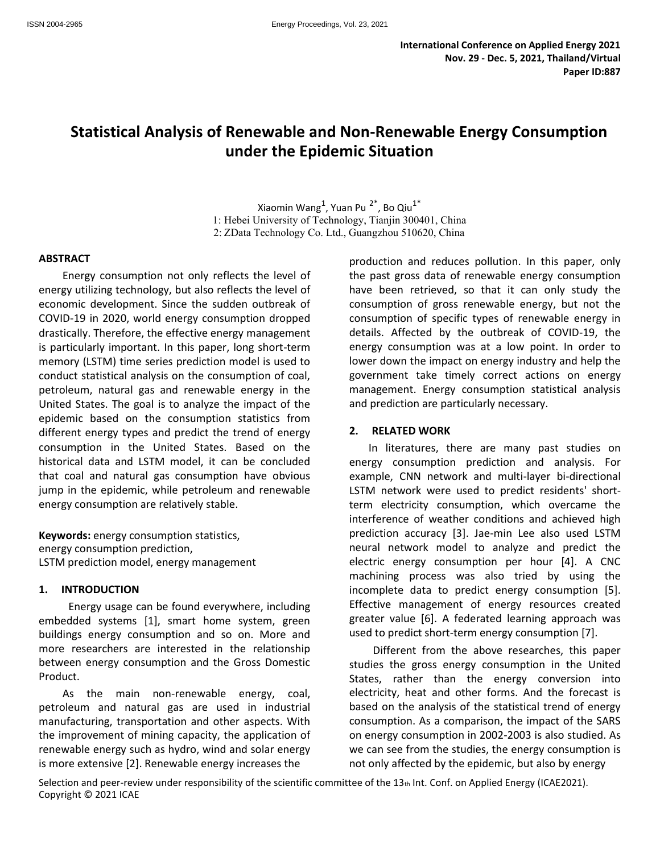# **Statistical Analysis of Renewable and Non-Renewable Energy Consumption under the Epidemic Situation**

Xiaomin Wang $^1$ , Yuan Pu $2^*$ , Bo Qiu $1^*$ 1: Hebei University of Technology, Tianjin 300401, China 2: ZData Technology Co. Ltd., Guangzhou 510620, China

#### **ABSTRACT**

Energy consumption not only reflects the level of energy utilizing technology, but also reflects the level of economic development. Since the sudden outbreak of COVID-19 in 2020, world energy consumption dropped drastically. Therefore, the effective energy management is particularly important. In this paper, long short-term memory (LSTM) time series prediction model is used to conduct statistical analysis on the consumption of coal, petroleum, natural gas and renewable energy in the United States. The goal is to analyze the impact of the epidemic based on the consumption statistics from different energy types and predict the trend of energy consumption in the United States. Based on the historical data and LSTM model, it can be concluded that coal and natural gas consumption have obvious jump in the epidemic, while petroleum and renewable energy consumption are relatively stable.

**Keywords:** energy consumption statistics, energy consumption prediction, LSTM prediction model, energy management

### **1. INTRODUCTION**

Energy usage can be found everywhere, including embedded systems [1], smart home system, green buildings energy consumption and so on. More and more researchers are interested in the relationship between energy consumption and the Gross Domestic Product.

As the main non-renewable energy, coal, petroleum and natural gas are used in industrial manufacturing, transportation and other aspects. With the improvement of mining capacity, the application of renewable energy such as hydro, wind and solar energy is more extensive [2]. Renewable energy increases the

production and reduces pollution. In this paper, only the past gross data of renewable energy consumption have been retrieved, so that it can only study the consumption of gross renewable energy, but not the consumption of specific types of renewable energy in details. Affected by the outbreak of COVID-19, the energy consumption was at a low point. In order to lower down the impact on energy industry and help the government take timely correct actions on energy management. Energy consumption statistical analysis and prediction are particularly necessary.

### **2. RELATED WORK**

In literatures, there are many past studies on energy consumption prediction and analysis. For example, CNN network and multi-layer bi-directional LSTM network were used to predict residents' shortterm electricity consumption, which overcame the interference of weather conditions and achieved high prediction accuracy [3]. Jae-min Lee also used LSTM neural network model to analyze and predict the electric energy consumption per hour [4]. A CNC machining process was also tried by using the incomplete data to predict energy consumption [5]. Effective management of energy resources created greater value [6]. A federated learning approach was used to predict short-term energy consumption [7].

Different from the above researches, this paper studies the gross energy consumption in the United States, rather than the energy conversion into electricity, heat and other forms. And the forecast is based on the analysis of the statistical trend of energy consumption. As a comparison, the impact of the SARS on energy consumption in 2002-2003 is also studied. As we can see from the studies, the energy consumption is not only affected by the epidemic, but also by energy

Selection and peer-review under responsibility of the scientific committee of the 13th Int. Conf. on Applied Energy (ICAE2021). Copyright © 2021 ICAE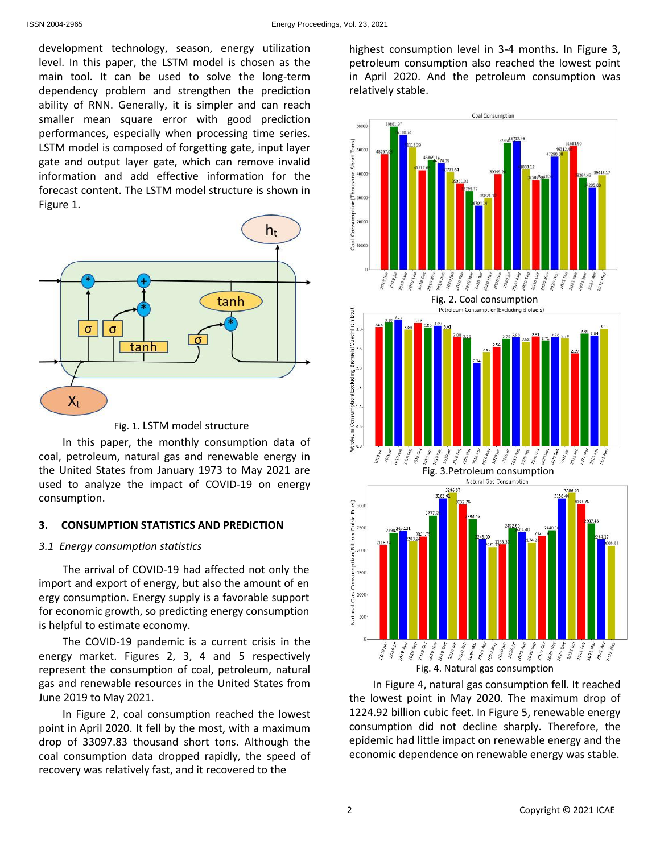development technology, season, energy utilization level. In this paper, the LSTM model is chosen as the main tool. It can be used to solve the long-term dependency problem and strengthen the prediction ability of RNN. Generally, it is simpler and can reach smaller mean square error with good prediction performances, especially when processing time series. LSTM model is composed of forgetting gate, input layer gate and output layer gate, which can remove invalid information and add effective information for the forecast content. The LSTM model structure is shown in Figure 1.





In this paper, the monthly consumption data of coal, petroleum, natural gas and renewable energy in the United States from January 1973 to May 2021 are used to analyze the impact of COVID-19 on energy consumption.

## **3. CONSUMPTION STATISTICS AND PREDICTION**

## *3.1 Energy consumption statistics*

The arrival of COVID-19 had affected not only the import and export of energy, but also the amount of en ergy consumption. Energy supply is a favorable support for economic growth, so predicting energy consumption is helpful to estimate economy.

The COVID-19 pandemic is a current crisis in the energy market. Figures 2, 3, 4 and 5 respectively represent the consumption of coal, petroleum, natural gas and renewable resources in the United States from June 2019 to May 2021.

In Figure 2, coal consumption reached the lowest point in April 2020. It fell by the most, with a maximum drop of 33097.83 thousand short tons. Although the coal consumption data dropped rapidly, the speed of recovery was relatively fast, and it recovered to the

highest consumption level in 3-4 months. In Figure 3, petroleum consumption also reached the lowest point in April 2020. And the petroleum consumption was relatively stable.





In Figure 4, natural gas consumption fell. It reached the lowest point in May 2020. The maximum drop of 1224.92 billion cubic feet. In Figure 5, renewable energy consumption did not decline sharply. Therefore, the epidemic had little impact on renewable energy and the economic dependence on renewable energy was stable.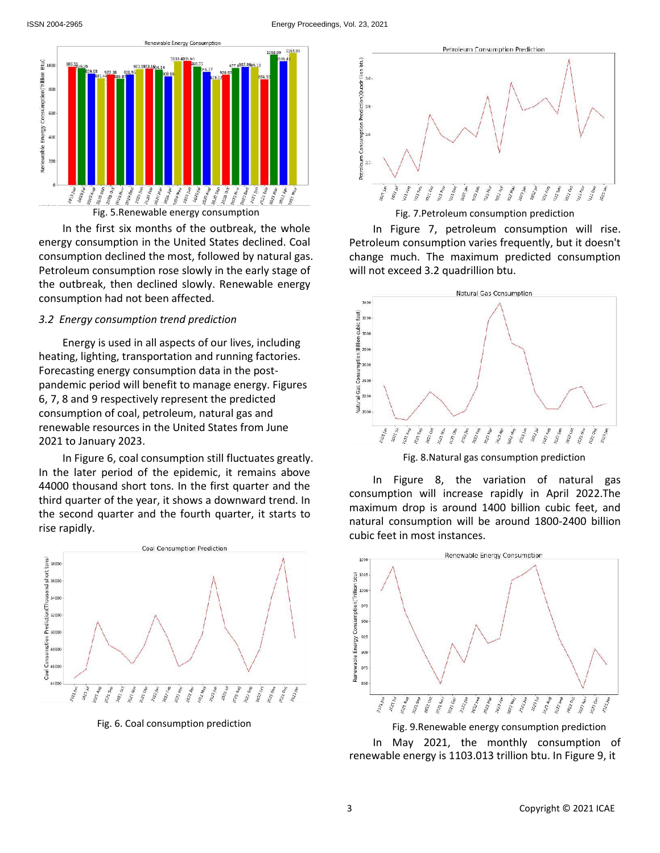

Fig. 5.Renewable energy consumption

In the first six months of the outbreak, the whole energy consumption in the United States declined. Coal consumption declined the most, followed by natural gas. Petroleum consumption rose slowly in the early stage of the outbreak, then declined slowly. Renewable energy consumption had not been affected.

#### *3.2 Energy consumption trend prediction*

Energy is used in all aspects of our lives, including heating, lighting, transportation and running factories. Forecasting energy consumption data in the postpandemic period will benefit to manage energy. Figures 6, 7, 8 and 9 respectively represent the predicted consumption of coal, petroleum, natural gas and renewable resources in the United States from June 2021 to January 2023.

In Figure 6, coal consumption still fluctuates greatly. In the later period of the epidemic, it remains above 44000 thousand short tons. In the first quarter and the third quarter of the year, it shows a downward trend. In the second quarter and the fourth quarter, it starts to rise rapidly.



Fig. 6. Coal consumption prediction



Fig. 7.Petroleum consumption prediction

In Figure 7, petroleum consumption will rise. Petroleum consumption varies frequently, but it doesn't change much. The maximum predicted consumption will not exceed 3.2 quadrillion btu.



Fig. 8.Natural gas consumption prediction

In Figure 8, the variation of natural gas consumption will increase rapidly in April 2022.The maximum drop is around 1400 billion cubic feet, and natural consumption will be around 1800-2400 billion cubic feet in most instances.



Fig. 9.Renewable energy consumption prediction

In May 2021, the monthly consumption of renewable energy is 1103.013 trillion btu. In Figure 9, it